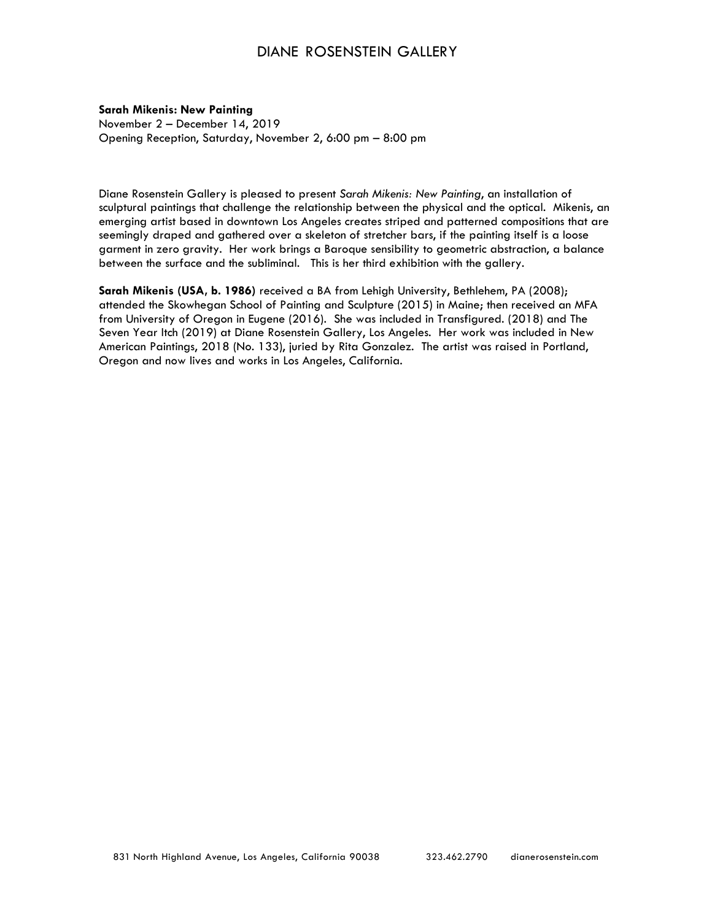## DIANE ROSENSTEIN GALLERY

## **Sarah Mikenis: New Painting**

November 2 – December 14, 2019 Opening Reception, Saturday, November 2, 6:00 pm – 8:00 pm

Diane Rosenstein Gallery is pleased to present *Sarah Mikenis: New Painting*, an installation of sculptural paintings that challenge the relationship between the physical and the optical. Mikenis, an emerging artist based in downtown Los Angeles creates striped and patterned compositions that are seemingly draped and gathered over a skeleton of stretcher bars, if the painting itself is a loose garment in zero gravity. Her work brings a Baroque sensibility to geometric abstraction, a balance between the surface and the subliminal. This is her third exhibition with the gallery.

**Sarah Mikenis (USA, b. 1986)** received a BA from Lehigh University, Bethlehem, PA (2008); attended the Skowhegan School of Painting and Sculpture (2015) in Maine; then received an MFA from University of Oregon in Eugene (2016). She was included in Transfigured. (2018) and The Seven Year Itch (2019) at Diane Rosenstein Gallery, Los Angeles. Her work was included in New American Paintings, 2018 (No. 133), juried by Rita Gonzalez. The artist was raised in Portland, Oregon and now lives and works in Los Angeles, California.